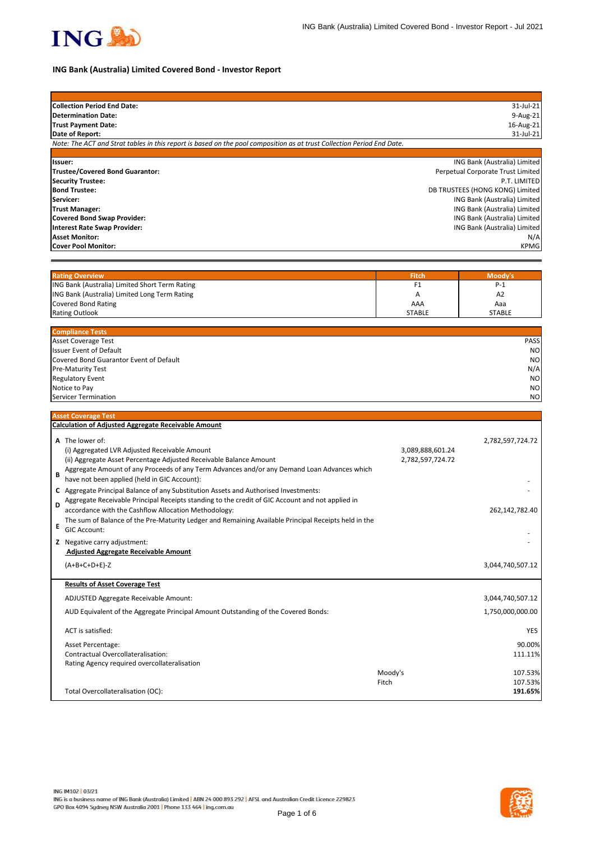

## **ING Bank (Australia) Limited Covered Bond - Investor Report**

| <b>Collection Period End Date:</b>                                                                                                        |                     | 31-Jul-21                                                    |
|-------------------------------------------------------------------------------------------------------------------------------------------|---------------------|--------------------------------------------------------------|
| <b>Determination Date:</b>                                                                                                                |                     | 9-Aug-21                                                     |
| <b>Trust Payment Date:</b>                                                                                                                |                     | 16-Aug-21                                                    |
| Date of Report:<br>Note: The ACT and Strat tables in this report is based on the pool composition as at trust Collection Period End Date. |                     | 31-Jul-21                                                    |
|                                                                                                                                           |                     |                                                              |
| Issuer:                                                                                                                                   |                     | ING Bank (Australia) Limited                                 |
| <b>Trustee/Covered Bond Guarantor:</b>                                                                                                    |                     | Perpetual Corporate Trust Limited                            |
| <b>Security Trustee:</b>                                                                                                                  |                     | P.T. LIMITED                                                 |
| <b>Bond Trustee:</b>                                                                                                                      |                     | DB TRUSTEES (HONG KONG) Limited                              |
| Servicer:<br><b>Trust Manager:</b>                                                                                                        |                     | ING Bank (Australia) Limited<br>ING Bank (Australia) Limited |
| <b>Covered Bond Swap Provider:</b>                                                                                                        |                     | ING Bank (Australia) Limited                                 |
| <b>Interest Rate Swap Provider:</b>                                                                                                       |                     | ING Bank (Australia) Limited                                 |
| <b>Asset Monitor:</b>                                                                                                                     |                     | N/A                                                          |
| <b>Cover Pool Monitor:</b>                                                                                                                |                     | <b>KPMG</b>                                                  |
|                                                                                                                                           |                     |                                                              |
|                                                                                                                                           |                     |                                                              |
| <b>Rating Overview</b>                                                                                                                    | <b>Fitch</b>        | Moody's                                                      |
| ING Bank (Australia) Limited Short Term Rating<br>ING Bank (Australia) Limited Long Term Rating                                           | F <sub>1</sub><br>А | P-1<br>A <sub>2</sub>                                        |
| <b>Covered Bond Rating</b>                                                                                                                | AAA                 | Aaa                                                          |
| <b>Rating Outlook</b>                                                                                                                     | <b>STABLE</b>       | <b>STABLE</b>                                                |
|                                                                                                                                           |                     |                                                              |
| <b>Compliance Tests</b>                                                                                                                   |                     |                                                              |
| Asset Coverage Test                                                                                                                       |                     | PASS                                                         |
| <b>Issuer Event of Default</b>                                                                                                            |                     | NO                                                           |
| Covered Bond Guarantor Event of Default                                                                                                   |                     | N <sub>O</sub>                                               |
| Pre-Maturity Test                                                                                                                         |                     | N/A<br>N <sub>O</sub>                                        |
| <b>Regulatory Event</b><br>Notice to Pay                                                                                                  |                     | N <sub>O</sub>                                               |
| Servicer Termination                                                                                                                      |                     | NO                                                           |
|                                                                                                                                           |                     |                                                              |
| <b>Asset Coverage Test</b>                                                                                                                |                     |                                                              |
| <b>Calculation of Adjusted Aggregate Receivable Amount</b>                                                                                |                     |                                                              |
| A The lower of:                                                                                                                           |                     | 2,782,597,724.72                                             |
| (i) Aggregated LVR Adjusted Receivable Amount                                                                                             | 3,089,888,601.24    |                                                              |
| (ii) Aggregate Asset Percentage Adjusted Receivable Balance Amount                                                                        | 2,782,597,724.72    |                                                              |
| Aggregate Amount of any Proceeds of any Term Advances and/or any Demand Loan Advances which                                               |                     |                                                              |
| B<br>have not been applied (held in GIC Account):                                                                                         |                     |                                                              |
| C Aggregate Principal Balance of any Substitution Assets and Authorised Investments:                                                      |                     |                                                              |
| Aggregate Receivable Principal Receipts standing to the credit of GIC Account and not applied in<br>D                                     |                     |                                                              |
| accordance with the Cashflow Allocation Methodology:                                                                                      |                     | 262,142,782.40                                               |
| The sum of Balance of the Pre-Maturity Ledger and Remaining Available Principal Receipts held in the<br>Ε                                 |                     |                                                              |
| GIC Account:                                                                                                                              |                     |                                                              |
| Z Negative carry adjustment:                                                                                                              |                     |                                                              |
| <b>Adjusted Aggregate Receivable Amount</b>                                                                                               |                     |                                                              |
| $(A+B+C+D+E)-Z$                                                                                                                           |                     | 3,044,740,507.12                                             |
|                                                                                                                                           |                     |                                                              |
| <b>Results of Asset Coverage Test</b>                                                                                                     |                     |                                                              |
| ADJUSTED Aggregate Receivable Amount:                                                                                                     |                     | 3,044,740,507.12                                             |
| AUD Equivalent of the Aggregate Principal Amount Outstanding of the Covered Bonds:                                                        |                     | 1,750,000,000.00                                             |
| ACT is satisfied:                                                                                                                         |                     | YES                                                          |
|                                                                                                                                           |                     |                                                              |
| Asset Percentage:                                                                                                                         |                     | 90.00%                                                       |
| Contractual Overcollateralisation:<br>Rating Agency required overcollateralisation                                                        |                     | 111.11%                                                      |
|                                                                                                                                           | Moody's             | 107.53%                                                      |
|                                                                                                                                           | Fitch               | 107.53%                                                      |
| Total Overcollateralisation (OC):                                                                                                         |                     | 191.65%                                                      |
|                                                                                                                                           |                     |                                                              |

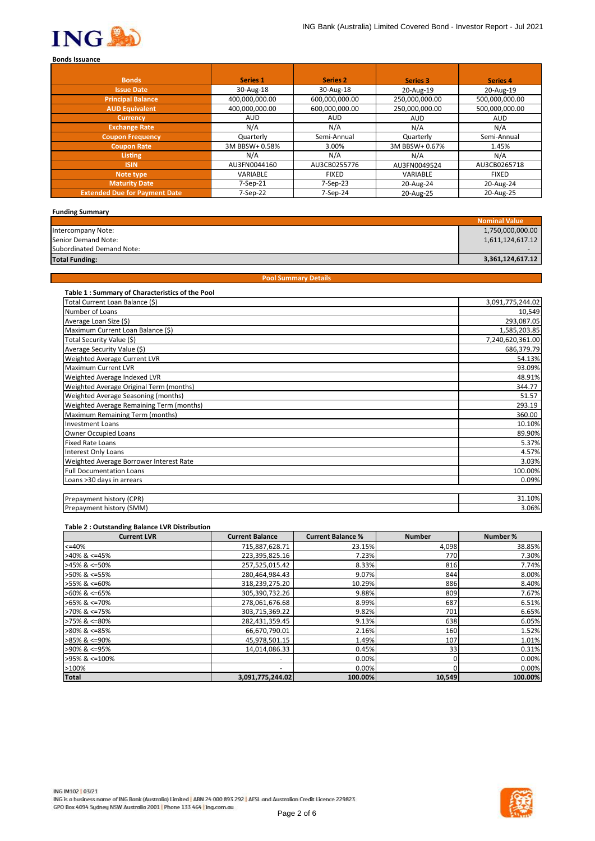

| <b>Bonds</b>                         | Series 1       | <b>Series 2</b> | Series 3       | <b>Series 4</b> |
|--------------------------------------|----------------|-----------------|----------------|-----------------|
| <b>Issue Date</b>                    | 30-Aug-18      | 30-Aug-18       | 20-Aug-19      | 20-Aug-19       |
| <b>Principal Balance</b>             | 400,000,000.00 | 600.000.000.00  | 250,000,000.00 | 500,000,000.00  |
| <b>AUD Equivalent</b>                | 400,000,000.00 | 600.000.000.00  | 250,000,000.00 | 500,000,000.00  |
| <b>Currency</b>                      | <b>AUD</b>     | <b>AUD</b>      | <b>AUD</b>     | <b>AUD</b>      |
| <b>Exchange Rate</b>                 | N/A            | N/A             | N/A            | N/A             |
| <b>Coupon Frequency</b>              | Quarterly      | Semi-Annual     | Quarterly      | Semi-Annual     |
| <b>Coupon Rate</b>                   | 3M BBSW+ 0.58% | 3.00%           | 3M BBSW+ 0.67% | 1.45%           |
| Listing                              | N/A            | N/A             | N/A            | N/A             |
| <b>ISIN</b>                          | AU3FN0044160   | AU3CB0255776    | AU3FN0049524   | AU3CB0265718    |
| Note type                            | VARIABLE       | <b>FIXED</b>    | VARIABLE       | <b>FIXED</b>    |
| <b>Maturity Date</b>                 | $7-Sep-21$     | 7-Sep-23        | 20-Aug-24      | 20-Aug-24       |
| <b>Extended Due for Payment Date</b> | 7-Sep-22       | 7-Sep-24        | 20-Aug-25      | 20-Aug-25       |

| <b>Funding Summary</b>    |                  |
|---------------------------|------------------|
|                           | Nominal Value    |
| Intercompany Note:        | 1,750,000,000.00 |
| Senior Demand Note:       | 1,611,124,617.12 |
| Subordinated Demand Note: |                  |
| <b>Total Funding:</b>     | 3,361,124,617.12 |

| <b>Pool Summary Details</b> |  |
|-----------------------------|--|
|                             |  |

| Table 1: Summary of Characteristics of the Pool |                  |
|-------------------------------------------------|------------------|
| Total Current Loan Balance (\$)                 | 3,091,775,244.02 |
| Number of Loans                                 | 10,549           |
| Average Loan Size (\$)                          | 293,087.05       |
| Maximum Current Loan Balance (\$)               | 1,585,203.85     |
| Total Security Value (\$)                       | 7,240,620,361.00 |
| Average Security Value (\$)                     | 686,379.79       |
| Weighted Average Current LVR                    | 54.13%           |
| Maximum Current LVR                             | 93.09%           |
| Weighted Average Indexed LVR                    | 48.91%           |
| Weighted Average Original Term (months)         | 344.77           |
| Weighted Average Seasoning (months)             | 51.57            |
| Weighted Average Remaining Term (months)        | 293.19           |
| Maximum Remaining Term (months)                 | 360.00           |
| <b>Investment Loans</b>                         | 10.10%           |
| <b>Owner Occupied Loans</b>                     | 89.90%           |
| <b>Fixed Rate Loans</b>                         | 5.37%            |
| <b>Interest Only Loans</b>                      | 4.57%            |
| Weighted Average Borrower Interest Rate         | 3.03%            |
| <b>Full Documentation Loans</b>                 | 100.00%          |
| Loans >30 days in arrears                       | 0.09%            |
|                                                 |                  |
| Prepayment history (CPR)                        | 31.10%           |
| Prepayment history (SMM)                        | 3.06%            |

## **Table 2 : Outstanding Balance LVR Distribution**

| <b>Current LVR</b> | <b>Current Balance</b> | <b>Current Balance %</b> | <b>Number</b> | Number % |
|--------------------|------------------------|--------------------------|---------------|----------|
| $<=40%$            | 715,887,628.71         | 23.15%                   | 4,098         | 38.85%   |
| $>40\%$ & <=45%    | 223,395,825.16         | 7.23%                    | 770           | 7.30%    |
| >45% & <=50%       | 257,525,015.42         | 8.33%                    | 816           | 7.74%    |
| >50% & <=55%       | 280,464,984.43         | 9.07%                    | 844           | 8.00%    |
| >55% & <=60%       | 318,239,275.20         | 10.29%                   | 886           | 8.40%    |
| $>60\%$ & <=65%    | 305,390,732.26         | 9.88%                    | 809           | 7.67%    |
| $>65\%$ & <=70%    | 278,061,676.68         | 8.99%                    | 687           | 6.51%    |
| >70% & <=75%       | 303,715,369.22         | 9.82%                    | 701           | 6.65%    |
| >75% & <=80%       | 282,431,359.45         | 9.13%                    | 638           | 6.05%    |
| >80% & <=85%       | 66,670,790.01          | 2.16%                    | 160           | 1.52%    |
| $>85\%$ & <=90%    | 45,978,501.15          | 1.49%                    | 107           | 1.01%    |
| >90% & <=95%       | 14,014,086.33          | 0.45%                    | 33            | 0.31%    |
| >95% & <=100%      | ٠                      | 0.00%                    |               | 0.00%    |
| >100%              | ۰                      | 0.00%                    |               | 0.00%    |
| <b>Total</b>       | 3,091,775,244.02       | 100.00%                  | 10,549        | 100.00%  |

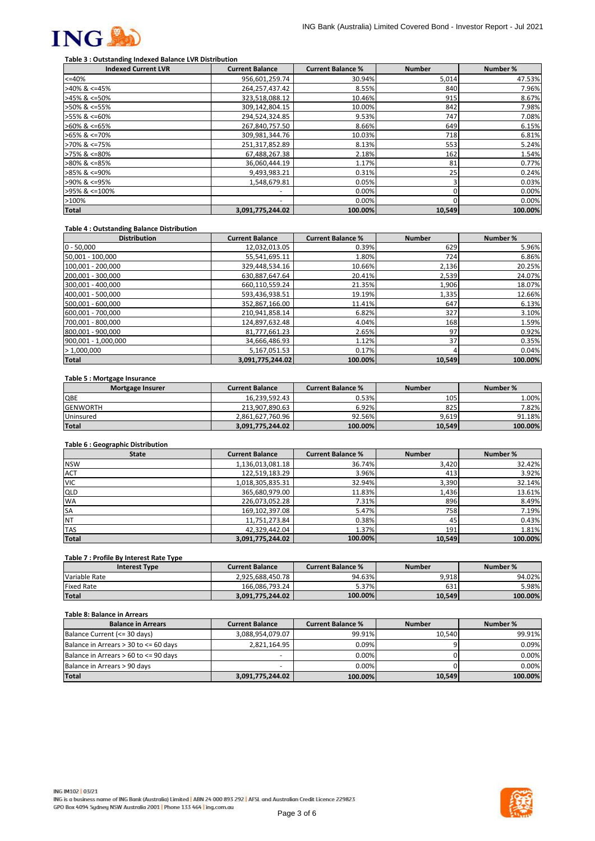

# **Table 3 : Outstanding Indexed Balance LVR Distribution**

| <b>Indexed Current LVR</b> | <b>Current Balance</b> | <b>Current Balance %</b> | <b>Number</b> | Number % |
|----------------------------|------------------------|--------------------------|---------------|----------|
| $<=40%$                    | 956,601,259.74         | 30.94%                   | 5,014         | 47.53%   |
| >40% & <=45%               | 264,257,437.42         | 8.55%                    | 840           | 7.96%    |
| >45% & <=50%               | 323,518,088.12         | 10.46%                   | 915           | 8.67%    |
| >50% & <=55%               | 309,142,804.15         | 10.00%                   | 842           | 7.98%    |
| >55% & <=60%               | 294,524,324.85         | 9.53%                    | 747           | 7.08%    |
| $>60\%$ & <=65%            | 267,840,757.50         | 8.66%                    | 649           | 6.15%    |
| >65% & <=70%               | 309,981,344.76         | 10.03%                   | 718           | 6.81%    |
| >70% & <=75%               | 251,317,852.89         | 8.13%                    | 553           | 5.24%    |
| >75% & <=80%               | 67,488,267.38          | 2.18%                    | 162           | 1.54%    |
| >80% & <=85%               | 36,060,444.19          | 1.17%                    | 81            | 0.77%    |
| >85% & <=90%               | 9,493,983.21           | 0.31%                    | 25            | 0.24%    |
| >90% & <=95%               | 1,548,679.81           | 0.05%                    |               | 0.03%    |
| >95% & <=100%              | ٠                      | $0.00\%$                 |               | 0.00%    |
| >100%                      | ٠                      | $0.00\%$                 |               | 0.00%    |
| <b>Total</b>               | 3,091,775,244.02       | 100.00%                  | 10,549        | 100.00%  |

## **Table 4 : Outstanding Balance Distribution**

| <b>Distribution</b> | <b>Current Balance</b> | <b>Current Balance %</b> | <b>Number</b> | Number % |
|---------------------|------------------------|--------------------------|---------------|----------|
| $0 - 50,000$        | 12,032,013.05          | 0.39%                    | 629           | 5.96%    |
| 50,001 - 100,000    | 55,541,695.11          | 1.80%                    | 724           | 6.86%    |
| 100,001 - 200,000   | 329,448,534.16         | 10.66%                   | 2,136         | 20.25%   |
| 200,001 - 300,000   | 630,887,647.64         | 20.41%                   | 2,539         | 24.07%   |
| 300,001 - 400,000   | 660,110,559.24         | 21.35%                   | 1,906         | 18.07%   |
| 400,001 - 500,000   | 593,436,938.51         | 19.19%                   | 1,335         | 12.66%   |
| 500,001 - 600,000   | 352,867,166.00         | 11.41%                   | 647           | 6.13%    |
| 600,001 - 700,000   | 210,941,858.14         | 6.82%                    | 327           | 3.10%    |
| 700,001 - 800,000   | 124,897,632.48         | 4.04%                    | 168           | 1.59%    |
| 800,001 - 900,000   | 81,777,661.23          | 2.65%                    | 97            | 0.92%    |
| 900,001 - 1,000,000 | 34,666,486.93          | 1.12%                    | 37            | 0.35%    |
| >1,000,000          | 5,167,051.53           | 0.17%                    |               | 0.04%    |
| <b>Total</b>        | 3,091,775,244.02       | 100.00%                  | 10,549        | 100.00%  |

#### **Table 5 : Mortgage Insurance**

| Mortgage Insurer | <b>Current Balance</b> | <b>Current Balance %</b> | <b>Number</b> | Number % |
|------------------|------------------------|--------------------------|---------------|----------|
| QBE              | 16.239.592.43          | 0.53%                    | 105           | 1.00%    |
| <b>GENWORTH</b>  | 213.907.890.63         | 6.92%                    | 825           | 7.82%    |
| Uninsured        | 2.861.627.760.96       | 92.56%                   | 9.619         | 91.18%   |
| <b>Total</b>     | 3,091,775,244.02       | 100.00%                  | 10,549        | 100.00%  |

## **Table 6 : Geographic Distribution**

| <b>State</b> | <b>Current Balance</b> | <b>Current Balance %</b> | <b>Number</b> | Number % |
|--------------|------------------------|--------------------------|---------------|----------|
| <b>NSW</b>   | 1,136,013,081.18       | 36.74%                   | 3,420         | 32.42%   |
| <b>ACT</b>   | 122,519,183.29         | 3.96%                    | 413           | 3.92%    |
| <b>VIC</b>   | 1,018,305,835.31       | 32.94%                   | 3,390         | 32.14%   |
| QLD          | 365,680,979.00         | 11.83%                   | 1,436         | 13.61%   |
| <b>WA</b>    | 226,073,052.28         | 7.31%                    | 896           | 8.49%    |
| <b>SA</b>    | 169, 102, 397.08       | 5.47%                    | 758           | 7.19%    |
| NT           | 11,751,273.84          | 0.38%                    | 45            | 0.43%    |
| <b>TAS</b>   | 42.329.442.04          | 1.37%                    | 191           | 1.81%    |
| <b>Total</b> | 3,091,775,244.02       | 100.00%                  | 10,549        | 100.00%  |

#### **Table 7 : Profile By Interest Rate Type**

| <b>Interest Type</b> | <b>Current Balance</b> | <b>Current Balance %</b> | <b>Number</b> | Number % |
|----------------------|------------------------|--------------------------|---------------|----------|
| Variable Rate        | 2.925.688.450.78       | 94.63%                   | 9.918         | 94.02%   |
| <b>Fixed Rate</b>    | 166.086.793.24         | 5.37%                    | 631           | 5.98%    |
| Total                | 3.091.775.244.02       | 100.00%                  | 10.549        | 100.00%  |

#### **Table 8: Balance in Arrears**

| <b>Balance in Arrears</b>             | <b>Current Balance</b> | <b>Current Balance %</b> | <b>Number</b> | Number % |
|---------------------------------------|------------------------|--------------------------|---------------|----------|
| Balance Current (<= 30 days)          | 3,088,954,079.07       | 99.91%                   | 10.540        | 99.91%   |
| Balance in Arrears > 30 to <= 60 days | 2,821,164.95           | 0.09%                    |               | 0.09%    |
| Balance in Arrears > 60 to <= 90 days | -                      | $0.00\%$                 |               | 0.00%    |
| Balance in Arrears > 90 days          |                        | 0.00%                    |               | 0.00%    |
| <b>Total</b>                          | 3,091,775,244.02       | 100.00%                  | 10,549        | 100.00%  |



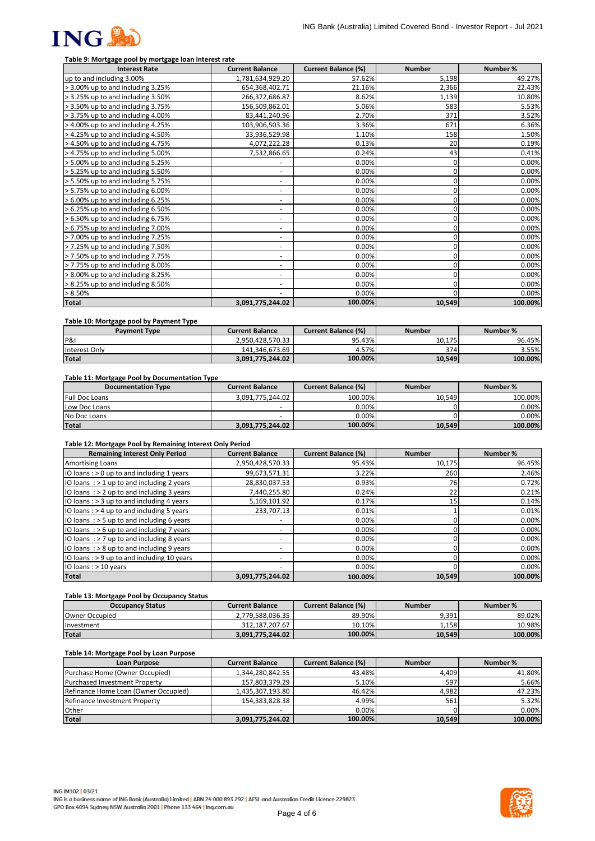

## **Table 9: Mortgage pool by mortgage loan interest rate**

| <b>Interest Rate</b>                 | <b>Current Balance</b>   | <b>Current Balance (%)</b> | <b>Number</b> | Number % |
|--------------------------------------|--------------------------|----------------------------|---------------|----------|
| up to and including 3.00%            | 1,781,634,929.20         | 57.62%                     | 5,198         | 49.27%   |
| > 3.00% up to and including 3.25%    | 654,368,402.71           | 21.16%                     | 2,366         | 22.43%   |
| > 3.25% up to and including 3.50%    | 266,372,686.87           | 8.62%                      | 1,139         | 10.80%   |
| > 3.50% up to and including 3.75%    | 156,509,862.01           | 5.06%                      | 583           | 5.53%    |
| > 3.75% up to and including 4.00%    | 83,441,240.96            | 2.70%                      | 371           | 3.52%    |
| > 4.00% up to and including 4.25%    | 103,906,503.36           | 3.36%                      | 671           | 6.36%    |
| > 4.25% up to and including 4.50%    | 33,936,529.98            | 1.10%                      | 158           | 1.50%    |
| > 4.50% up to and including 4.75%    | 4,072,222.28             | 0.13%                      | 20            | 0.19%    |
| > 4.75% up to and including 5.00%    | 7,532,866.65             | 0.24%                      | 43            | 0.41%    |
| > 5.00% up to and including 5.25%    | ۰                        | 0.00%                      | 0             | 0.00%    |
| > 5.25% up to and including 5.50%    | $\overline{\phantom{a}}$ | 0.00%                      | 0             | 0.00%    |
| > 5.50% up to and including 5.75%    | $\overline{\phantom{a}}$ | 0.00%                      | 0             | 0.00%    |
| > 5.75% up to and including 6.00%    | $\overline{\phantom{a}}$ | 0.00%                      | 0             | 0.00%    |
| $> 6.00\%$ up to and including 6.25% | $\overline{\phantom{a}}$ | 0.00%                      |               | 0.00%    |
| > 6.25% up to and including 6.50%    | ٠                        | 0.00%                      |               | 0.00%    |
| > 6.50% up to and including 6.75%    | $\overline{\phantom{a}}$ | 0.00%                      | 0             | 0.00%    |
| > 6.75% up to and including 7.00%    | ٠                        | 0.00%                      |               | 0.00%    |
| > 7.00% up to and including 7.25%    | $\overline{\phantom{a}}$ | 0.00%                      | ŋ             | 0.00%    |
| > 7.25% up to and including 7.50%    | -                        | 0.00%                      |               | 0.00%    |
| > 7.50% up to and including 7.75%    | $\overline{\phantom{a}}$ | 0.00%                      |               | 0.00%    |
| > 7.75% up to and including 8.00%    | ۰                        | 0.00%                      | 0             | 0.00%    |
| > 8.00% up to and including 8.25%    | $\overline{\phantom{a}}$ | 0.00%                      |               | 0.00%    |
| > 8.25% up to and including 8.50%    | ٠                        | 0.00%                      | 0             | 0.00%    |
| $> 8.50\%$                           |                          | 0.00%                      | ŋ             | 0.00%    |
| <b>Total</b>                         | 3,091,775,244.02         | 100.00%                    | 10,549        | 100.00%  |

#### **Table 10: Mortgage pool by Payment Type**

| <b>Payment Type</b> | Current Balance  | <b>Current Balance (%)</b> | <b>Number</b> | Number % |
|---------------------|------------------|----------------------------|---------------|----------|
| P&                  | 2.950.428.570.33 | 95.43%                     | 10.175        | 96.45%   |
| Interest Only       | 141.346.673.69   | 4.57%                      | 374           | 3.55%    |
| <b>Total</b>        | 3.091.775.244.02 | 100.00%                    | 10,549        | 100.00%  |

#### **Table 11: Mortgage Pool by Documentation Type**

| <b>Documentation Type</b> | <b>Current Balance</b> | <b>Current Balance (%)</b> | <b>Number</b> | Number % |
|---------------------------|------------------------|----------------------------|---------------|----------|
| <b>Full Doc Loans</b>     | 3.091.775.244.02       | 100.00%                    | 10.549        | 100.00%  |
| Low Doc Loans             |                        | 0.00%                      |               | $0.00\%$ |
| No Doc Loans              |                        | 0.00%                      |               | 0.00%    |
| <b>Total</b>              | 3,091,775,244.02       | 100.00%                    | 10,549        | 100.00%  |

## **Table 12: Mortgage Pool by Remaining Interest Only Period**

| <b>Remaining Interest Only Period</b>        | <b>Current Balance</b>   | <b>Current Balance (%)</b> | <b>Number</b>   | Number % |
|----------------------------------------------|--------------------------|----------------------------|-----------------|----------|
| <b>Amortising Loans</b>                      | 2,950,428,570.33         | 95.43%                     | 10,175          | 96.45%   |
| IO loans: $> 0$ up to and including 1 years  | 99,673,571.31            | 3.22%                      | 260             | 2.46%    |
| IO loans $:$ > 1 up to and including 2 years | 28,830,037.53            | 0.93%                      | 76              | 0.72%    |
| IO loans $:$ > 2 up to and including 3 years | 7,440,255.80             | 0.24%                      | 22              | 0.21%    |
| IO loans: $>$ 3 up to and including 4 years  | 5,169,101.92             | 0.17%                      | 15 <sub>1</sub> | 0.14%    |
| IO loans: $> 4$ up to and including 5 years  | 233,707.13               | 0.01%                      |                 | 0.01%    |
| IO loans: $>$ 5 up to and including 6 years  | ٠                        | $0.00\%$                   |                 | 0.00%    |
| IO loans $:$ > 6 up to and including 7 years | ۰                        | 0.00%                      |                 | 0.00%    |
| IO loans $:$ > 7 up to and including 8 years |                          | $0.00\%$                   |                 | 0.00%    |
| IO loans $:$ > 8 up to and including 9 years | ۰                        | $0.00\%$                   |                 | 0.00%    |
| IO loans : > 9 up to and including 10 years  | $\overline{\phantom{a}}$ | $0.00\%$                   |                 | 0.00%    |
| IO loans : > 10 years                        | $\overline{\phantom{a}}$ | $0.00\%$                   |                 | 0.00%    |
| <b>Total</b>                                 | 3,091,775,244.02         | 100.00%                    | 10,549          | 100.00%  |

#### **Table 13: Mortgage Pool by Occupancy Status**

| <b>Occupancy Status</b> | <b>Current Balance</b> | <b>Current Balance (%)</b> | <b>Number</b> | Number % |
|-------------------------|------------------------|----------------------------|---------------|----------|
| Owner Occupied          | 2.779.588.036.35       | 89.90%                     | 9.391         | 89.02%   |
| Investment              | 312.187.207.67         | 10.10%                     | 1.158         | 10.98%   |
| <b>Total</b>            | 3.091.775.244.02       | 100.00%                    | 10.549        | 100.00%  |

#### **Table 14: Mortgage Pool by Loan Purpose**

| <b>Loan Purpose</b>                  | <b>Current Balance</b> | <b>Current Balance (%)</b> | <b>Number</b> | Number % |
|--------------------------------------|------------------------|----------------------------|---------------|----------|
| Purchase Home (Owner Occupied)       | 1,344,280,842.55       | 43.48%                     | 4.409         | 41.80%   |
| Purchased Investment Property        | 157,803,379.29         | 5.10%                      | 597           | 5.66%    |
| Refinance Home Loan (Owner Occupied) | 1,435,307,193.80       | 46.42%                     | 4,982         | 47.23%   |
| Refinance Investment Property        | 154,383,828.38         | 4.99%                      | 561           | 5.32%    |
| Other                                |                        | $0.00\%$                   |               | 0.00%    |
| <b>Total</b>                         | 3,091,775,244.02       | 100.00%                    | 10,549        | 100.00%  |

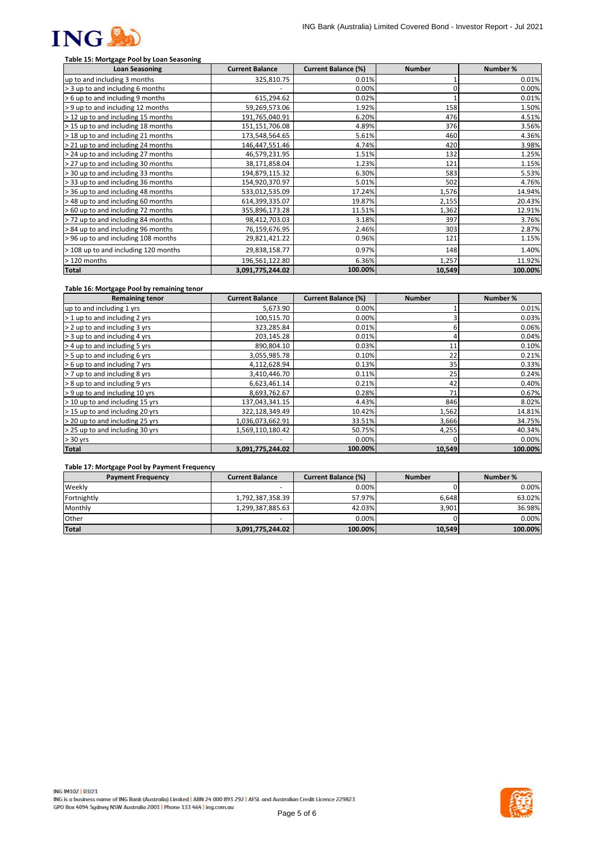

# **Table 15: Mortgage Pool by Loan Seasoning**

| <b>Loan Seasoning</b>                | <b>Current Balance</b> | <b>Current Balance (%)</b> | <b>Number</b> | Number % |
|--------------------------------------|------------------------|----------------------------|---------------|----------|
| up to and including 3 months         | 325,810.75             | 0.01%                      |               | 0.01%    |
| > 3 up to and including 6 months     |                        | 0.00%                      |               | 0.00%    |
| > 6 up to and including 9 months     | 615,294.62             | 0.02%                      |               | 0.01%    |
| > 9 up to and including 12 months    | 59,269,573.06          | 1.92%                      | 158           | 1.50%    |
| > 12 up to and including 15 months   | 191,765,040.91         | 6.20%                      | 476           | 4.51%    |
| > 15 up to and including 18 months   | 151,151,706.08         | 4.89%                      | 376           | 3.56%    |
| > 18 up to and including 21 months   | 173,548,564.65         | 5.61%                      | 460           | 4.36%    |
| > 21 up to and including 24 months   | 146,447,551.46         | 4.74%                      | 420           | 3.98%    |
| > 24 up to and including 27 months   | 46,579,231.95          | 1.51%                      | 132           | 1.25%    |
| > 27 up to and including 30 months   | 38,171,858.04          | 1.23%                      | 121           | 1.15%    |
| > 30 up to and including 33 months   | 194,879,115.32         | 6.30%                      | 583           | 5.53%    |
| > 33 up to and including 36 months   | 154,920,370.97         | 5.01%                      | 502           | 4.76%    |
| > 36 up to and including 48 months   | 533,012,535.09         | 17.24%                     | 1,576         | 14.94%   |
| >48 up to and including 60 months    | 614,399,335.07         | 19.87%                     | 2,155         | 20.43%   |
| > 60 up to and including 72 months   | 355,896,173.28         | 11.51%                     | 1,362         | 12.91%   |
| > 72 up to and including 84 months   | 98,412,703.03          | 3.18%                      | 397           | 3.76%    |
| > 84 up to and including 96 months   | 76,159,676.95          | 2.46%                      | 303           | 2.87%    |
| >96 up to and including 108 months   | 29,821,421.22          | 0.96%                      | 121           | 1.15%    |
| > 108 up to and including 120 months | 29,838,158.77          | 0.97%                      | 148           | 1.40%    |
| > 120 months                         | 196,561,122.80         | 6.36%                      | 1,257         | 11.92%   |
| <b>Total</b>                         | 3,091,775,244.02       | 100.00%                    | 10,549        | 100.00%  |

### **Table 16: Mortgage Pool by remaining tenor**

| <b>Remaining tenor</b>          | <b>Current Balance</b> | <b>Current Balance (%)</b> | <b>Number</b> | Number % |
|---------------------------------|------------------------|----------------------------|---------------|----------|
| up to and including 1 yrs       | 5,673.90               | 0.00%                      |               | 0.01%    |
| > 1 up to and including 2 yrs   | 100,515.70             | 0.00%                      |               | 0.03%    |
| > 2 up to and including 3 yrs   | 323,285.84             | 0.01%                      |               | 0.06%    |
| > 3 up to and including 4 yrs   | 203,145.28             | 0.01%                      |               | 0.04%    |
| > 4 up to and including 5 yrs   | 890,804.10             | 0.03%                      | 11            | 0.10%    |
| > 5 up to and including 6 yrs   | 3,055,985.78           | 0.10%                      | 22            | 0.21%    |
| > 6 up to and including 7 yrs   | 4,112,628.94           | 0.13%                      | 35            | 0.33%    |
| > 7 up to and including 8 yrs   | 3,410,446.70           | 0.11%                      | 25            | 0.24%    |
| > 8 up to and including 9 yrs   | 6,623,461.14           | 0.21%                      | 42            | 0.40%    |
| > 9 up to and including 10 yrs  | 8,693,762.67           | 0.28%                      | 71            | 0.67%    |
| > 10 up to and including 15 yrs | 137,043,341.15         | 4.43%                      | 846           | 8.02%    |
| > 15 up to and including 20 yrs | 322,128,349.49         | 10.42%                     | 1,562         | 14.81%   |
| > 20 up to and including 25 yrs | 1,036,073,662.91       | 33.51%                     | 3,666         | 34.75%   |
| > 25 up to and including 30 yrs | 1,569,110,180.42       | 50.75%                     | 4,255         | 40.34%   |
| $> 30$ yrs                      |                        | 0.00%                      |               | 0.00%    |
| <b>Total</b>                    | 3,091,775,244.02       | 100.00%                    | 10,549        | 100.00%  |

## **Table 17: Mortgage Pool by Payment Frequency**

| <b>Payment Frequency</b> | <b>Current Balance</b> | <b>Current Balance (%)</b> | <b>Number</b> | Number % |
|--------------------------|------------------------|----------------------------|---------------|----------|
| Weekly                   |                        | 0.00%                      |               | 0.00%    |
| Fortnightly              | 1,792,387,358.39       | 57.97%                     | 6.648         | 63.02%   |
| Monthly                  | 1,299,387,885.63       | 42.03%                     | 3.901         | 36.98%   |
| <b>Other</b>             |                        | 0.00%                      |               | 0.00%    |
| <b>Total</b>             | 3,091,775,244.02       | 100.00%                    | 10,549        | 100.00%  |